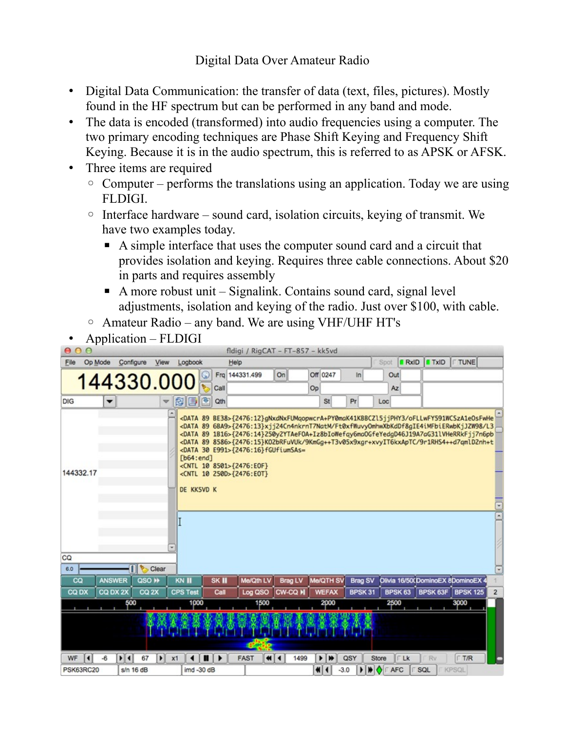Digital Data Over Amateur Radio

- Digital Data Communication: the transfer of data (text, files, pictures). Mostly found in the HF spectrum but can be performed in any band and mode.
- The data is encoded (transformed) into audio frequencies using a computer. The two primary encoding techniques are Phase Shift Keying and Frequency Shift Keying. Because it is in the audio spectrum, this is referred to as APSK or AFSK.
- Three items are required
	- $\circ$  Computer performs the translations using an application. Today we are using FLDIGI.
	- Interface hardware sound card, isolation circuits, keying of transmit. We have two examples today.
		- A simple interface that uses the computer sound card and a circuit that provides isolation and keying. Requires three cable connections. About \$20 in parts and requires assembly
		- $\blacksquare$  A more robust unit Signalink. Contains sound card, signal level adjustments, isolation and keying of the radio. Just over \$100, with cable.
	- Amateur Radio any band. We are using VHF/UHF HT's
- Application FLDIGI